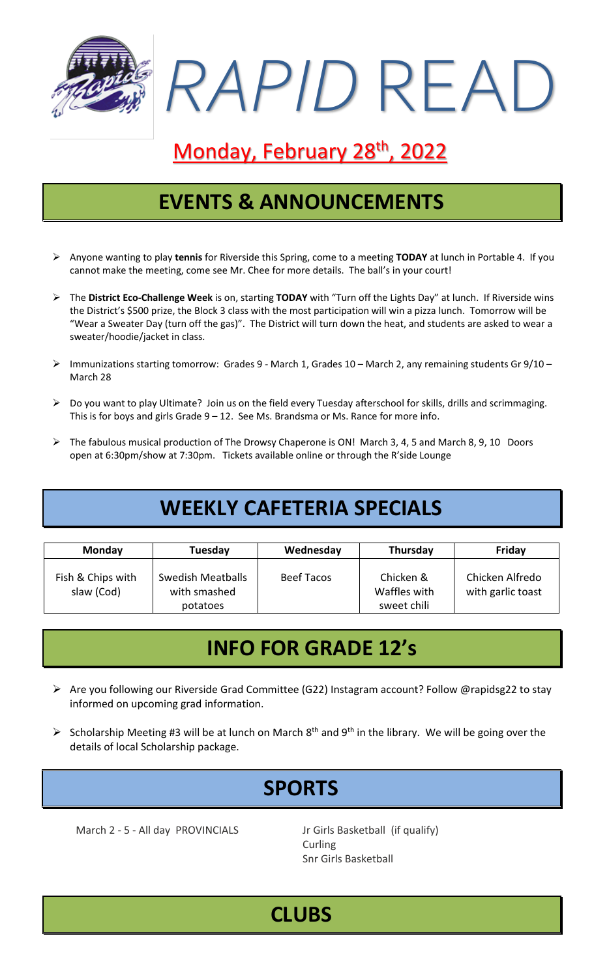

# Monday, February 28<sup>th</sup>, 2022

### **EVENTS & ANNOUNCEMENTS**

- ➢ Anyone wanting to play **tennis** for Riverside this Spring, come to a meeting **TODAY** at lunch in Portable 4. If you cannot make the meeting, come see Mr. Chee for more details. The ball's in your court!
- ➢ The **District Eco-Challenge Week** is on, starting **TODAY** with "Turn off the Lights Day" at lunch. If Riverside wins the District's \$500 prize, the Block 3 class with the most participation will win a pizza lunch. Tomorrow will be "Wear a Sweater Day (turn off the gas)". The District will turn down the heat, and students are asked to wear a sweater/hoodie/jacket in class.
- ➢ Immunizations starting tomorrow: Grades 9 March 1, Grades 10 March 2, any remaining students Gr 9/10 March 28
- ➢ Do you want to play Ultimate? Join us on the field every Tuesday afterschool for skills, drills and scrimmaging. This is for boys and girls Grade  $9 - 12$ . See Ms. Brandsma or Ms. Rance for more info.
- ➢ The fabulous musical production of The Drowsy Chaperone is ON! March 3, 4, 5 and March 8, 9, 10 Doors open at 6:30pm/show at 7:30pm. Tickets available online or through the R'side Lounge

## **WEEKLY CAFETERIA SPECIALS**

| <b>Monday</b>                   | Tuesday                                       | Wednesday         | Thursday                                 | Friday                               |
|---------------------------------|-----------------------------------------------|-------------------|------------------------------------------|--------------------------------------|
| Fish & Chips with<br>slaw (Cod) | Swedish Meatballs<br>with smashed<br>potatoes | <b>Beef Tacos</b> | Chicken &<br>Waffles with<br>sweet chili | Chicken Alfredo<br>with garlic toast |

### **INFO FOR GRADE 12's**

- ➢ Are you following our Riverside Grad Committee (G22) Instagram account? Follow @rapidsg22 to stay informed on upcoming grad information.
- $\triangleright$  Scholarship Meeting #3 will be at lunch on March 8<sup>th</sup> and 9<sup>th</sup> in the library. We will be going over the details of local Scholarship package.

# **SPORTS**

March 2 - 5 - All day PROVINCIALS Jr Girls Basketball (if qualify)

**Curling** Snr Girls Basketball

### **CLUBS**